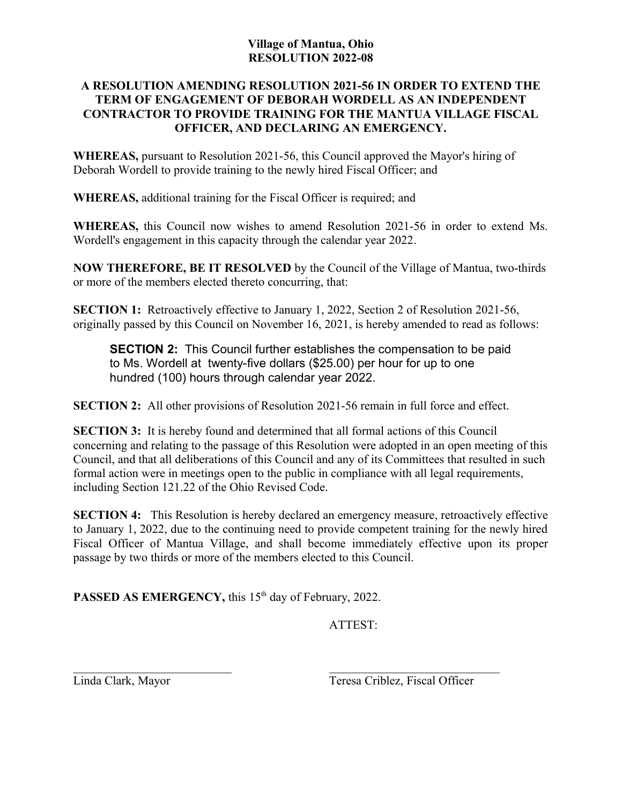## **Village of Mantua, Ohio RESOLUTION 2022-08**

## **A RESOLUTION AMENDING RESOLUTION 2021-56 IN ORDER TO EXTEND THE TERM OF ENGAGEMENT OF DEBORAH WORDELL AS AN INDEPENDENT CONTRACTOR TO PROVIDE TRAINING FOR THE MANTUA VILLAGE FISCAL OFFICER, AND DECLARING AN EMERGENCY.**

**WHEREAS,** pursuant to Resolution 2021-56, this Council approved the Mayor's hiring of Deborah Wordell to provide training to the newly hired Fiscal Officer; and

**WHEREAS,** additional training for the Fiscal Officer is required; and

**WHEREAS,** this Council now wishes to amend Resolution 2021-56 in order to extend Ms. Wordell's engagement in this capacity through the calendar year 2022.

**NOW THEREFORE, BE IT RESOLVED** by the Council of the Village of Mantua, two-thirds or more of the members elected thereto concurring, that:

**SECTION 1:** Retroactively effective to January 1, 2022, Section 2 of Resolution 2021-56, originally passed by this Council on November 16, 2021, is hereby amended to read as follows:

**SECTION 2:** This Council further establishes the compensation to be paid to Ms. Wordell at twenty-five dollars (\$25.00) per hour for up to one hundred (100) hours through calendar year 2022.

**SECTION 2:** All other provisions of Resolution 2021-56 remain in full force and effect.

**SECTION 3:** It is hereby found and determined that all formal actions of this Council concerning and relating to the passage of this Resolution were adopted in an open meeting of this Council, and that all deliberations of this Council and any of its Committees that resulted in such formal action were in meetings open to the public in compliance with all legal requirements, including Section 121.22 of the Ohio Revised Code.

**SECTION 4:** This Resolution is hereby declared an emergency measure, retroactively effective to January 1, 2022, due to the continuing need to provide competent training for the newly hired Fiscal Officer of Mantua Village, and shall become immediately effective upon its proper passage by two thirds or more of the members elected to this Council.

PASSED AS EMERGENCY, this 15<sup>th</sup> day of February, 2022.

ATTEST:

Linda Clark, Mayor Teresa Criblez, Fiscal Officer